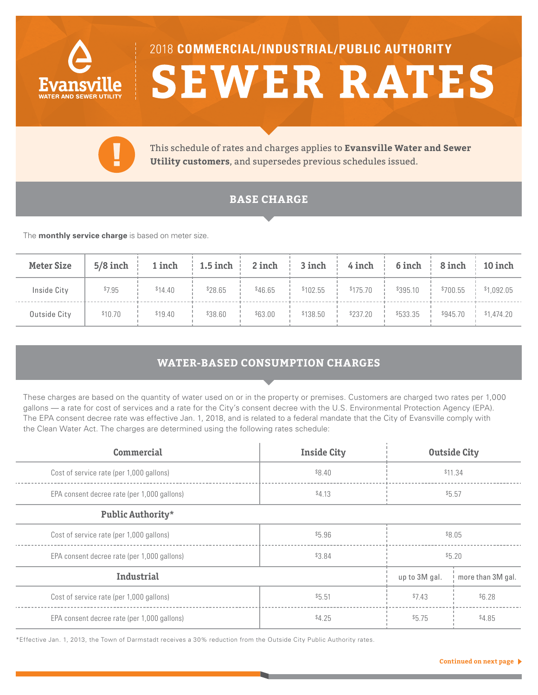

# 2018 **COMMERCIAL/INDUSTRIAL/PUBLIC AUTHORITY SEWER RATES**



This schedule of rates and charges applies to **Evansville Water and Sewer Utility customers**, and supersedes previous schedules issued.

## **BASE CHARGE**

The **monthly service charge** is based on meter size.

| <b>Meter Size</b> | $5/8$ inch $\vdots$ |         |         | 1 inch   1.5 inch   2 inch   3 inch   4 inch   6 inch   8 inch   10 inch |                       |                                      |                       |
|-------------------|---------------------|---------|---------|--------------------------------------------------------------------------|-----------------------|--------------------------------------|-----------------------|
| Inside City       | \$7.95              | \$14.40 | \$28.65 | \$46.65                                                                  | $$102.55$   $$175.70$ | $$395.10$ :                          | $$700.55$ $$1,092.05$ |
| Outside City      | \$10.70             | \$19.40 | \$38.60 | \$63.00                                                                  | $$138.50$ $$237.20$   | $\frac{1}{1}$ \$533.35 $\frac{1}{1}$ | $$945.70$ $$1,474.20$ |

## **WATER-BASED CONSUMPTION CHARGES**

These charges are based on the quantity of water used on or in the property or premises. Customers are charged two rates per 1,000 gallons — a rate for cost of services and a rate for the City's consent decree with the U.S. Environmental Protection Agency (EPA). The EPA consent decree rate was effective Jan. 1, 2018, and is related to a federal mandate that the City of Evansville comply with the Clean Water Act. The charges are determined using the following rates schedule:

| Commercial                                  | <b>Inside City</b> | <b>Outside City</b> |                   |  |
|---------------------------------------------|--------------------|---------------------|-------------------|--|
| Cost of service rate (per 1,000 gallons)    | \$8.40             | \$11.34             |                   |  |
| EPA consent decree rate (per 1,000 gallons) | \$4.13             | \$5.57              |                   |  |
| Public Authority*                           |                    |                     |                   |  |
| Cost of service rate (per 1,000 gallons)    | \$5.96             | \$8.05              |                   |  |
| EPA consent decree rate (per 1,000 gallons) | \$3.84             | \$5.20              |                   |  |
| Industrial                                  |                    | up to 3M gal.       | more than 3M gal. |  |
| Cost of service rate (per 1,000 gallons)    | \$5.51             | \$7.43<br>\$6.28    |                   |  |
| EPA consent decree rate (per 1,000 gallons) | \$4.25             | \$5.75              | \$4.85            |  |

\*Effective Jan. 1, 2013, the Town of Darmstadt receives a 30% reduction from the Outside City Public Authority rates.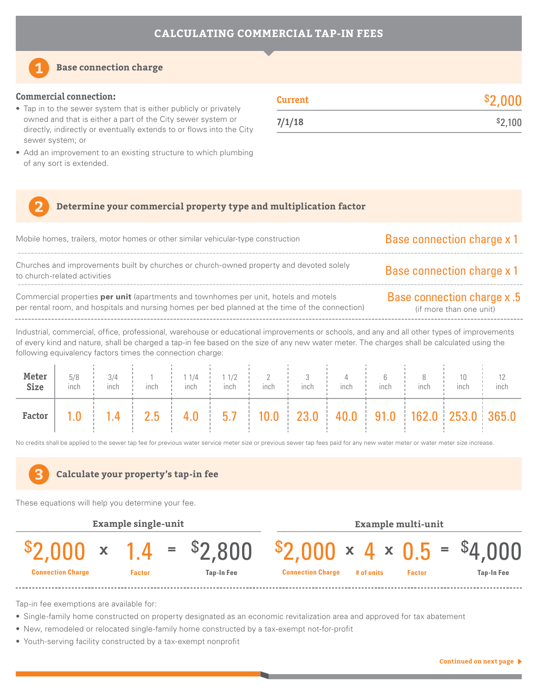

#### **Base connection charge**

#### **Commercial connection:**

- Tap in to the sewer system that is either publicly or privately owned and that is either a part of the City sewer system or directly, indirectly or eventually extends to or flows into the City sewer system; or
- Add an improvement to an existing structure to which plumbing of any sort is extended.

| Current | \$2,000 |
|---------|---------|
| 7/1/18  | \$2,100 |

#### **Determine your commercial property type and multiplication factor**

| Mobile homes, trailers, motor homes or other similar vehicular-type construction                                                                                                               | <b>Base connection charge x 1</b>                            |
|------------------------------------------------------------------------------------------------------------------------------------------------------------------------------------------------|--------------------------------------------------------------|
| Churches and improvements built by churches or church-owned property and devoted solely<br>to church-related activities                                                                        | <b>Base connection charge x 1</b>                            |
| Commercial properties <b>per unit</b> (apartments and townhomes per unit, hotels and motels<br>per rental room, and hospitals and nursing homes per bed planned at the time of the connection) | <b>Base connection charge x.5</b><br>(if more than one unit) |
| Industrial, commercial, office, professional, warehouse or educational improvements or schools, and any and all other types of improvements                                                    |                                                              |

of every kind and nature, shall be charged a tap-in fee based on the size of any new water meter. The charges shall be calculated using the following equivalency factors times the connection charge:

| Meter<br><b>Size</b> | 5/8<br>inch | 3/4<br>inch | inch                                                                                            | 1/4<br>inch | 11/2<br>inch | inch | inch | inch | inch | inch | inch | inch |
|----------------------|-------------|-------------|-------------------------------------------------------------------------------------------------|-------------|--------------|------|------|------|------|------|------|------|
| Factor               |             |             | $1.4$   $2.5$   $4.0$   $5.7$   $10.0$   $23.0$   $40.0$   $91.0$   $162.0$   $253.0$   $365.0$ |             |              |      |      |      |      |      |      |      |

No credits shall be applied to the sewer tap fee for previous water service meter size or previous sewer tap fees paid for any new water meter or water meter size increase.



These equations will help you determine your fee.



Tap-in fee exemptions are available for:

- Single-family home constructed on property designated as an economic revitalization area and approved for tax abatement
- New, remodeled or relocated single-family home constructed by a tax-exempt not-for-profit
- Youth-serving facility constructed by a tax-exempt nonprofit